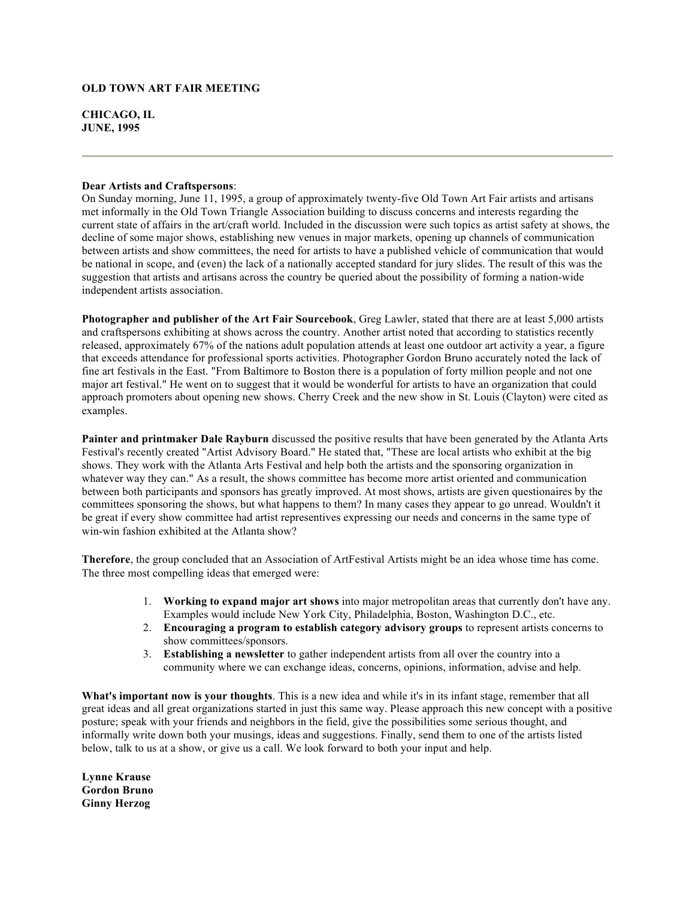## **OLD TOWN ART FAIR MEETING**

**CHICAGO, IL JUNE, 1995** 

## **Dear Artists and Craftspersons**:

On Sunday morning, June 11, 1995, a group of approximately twenty-five Old Town Art Fair artists and artisans met informally in the Old Town Triangle Association building to discuss concerns and interests regarding the current state of affairs in the art/craft world. Included in the discussion were such topics as artist safety at shows, the decline of some major shows, establishing new venues in major markets, opening up channels of communication between artists and show committees, the need for artists to have a published vehicle of communication that would be national in scope, and (even) the lack of a nationally accepted standard for jury slides. The result of this was the suggestion that artists and artisans across the country be queried about the possibility of forming a nation-wide independent artists association.

**Photographer and publisher of the Art Fair Sourcebook**, Greg Lawler, stated that there are at least 5,000 artists and craftspersons exhibiting at shows across the country. Another artist noted that according to statistics recently released, approximately 67% of the nations adult population attends at least one outdoor art activity a year, a figure that exceeds attendance for professional sports activities. Photographer Gordon Bruno accurately noted the lack of fine art festivals in the East. "From Baltimore to Boston there is a population of forty million people and not one major art festival." He went on to suggest that it would be wonderful for artists to have an organization that could approach promoters about opening new shows. Cherry Creek and the new show in St. Louis (Clayton) were cited as examples.

**Painter and printmaker Dale Rayburn** discussed the positive results that have been generated by the Atlanta Arts Festival's recently created "Artist Advisory Board." He stated that, "These are local artists who exhibit at the big shows. They work with the Atlanta Arts Festival and help both the artists and the sponsoring organization in whatever way they can." As a result, the shows committee has become more artist oriented and communication between both participants and sponsors has greatly improved. At most shows, artists are given questionaires by the committees sponsoring the shows, but what happens to them? In many cases they appear to go unread. Wouldn't it be great if every show committee had artist representives expressing our needs and concerns in the same type of win-win fashion exhibited at the Atlanta show?

**Therefore**, the group concluded that an Association of ArtFestival Artists might be an idea whose time has come. The three most compelling ideas that emerged were:

- 1. **Working to expand major art shows** into major metropolitan areas that currently don't have any. Examples would include New York City, Philadelphia, Boston, Washington D.C., etc.
- 2. **Encouraging a program to establish category advisory groups** to represent artists concerns to show committees/sponsors.
- 3. **Establishing a newsletter** to gather independent artists from all over the country into a community where we can exchange ideas, concerns, opinions, information, advise and help.

**What's important now is your thoughts**. This is a new idea and while it's in its infant stage, remember that all great ideas and all great organizations started in just this same way. Please approach this new concept with a positive posture; speak with your friends and neighbors in the field, give the possibilities some serious thought, and informally write down both your musings, ideas and suggestions. Finally, send them to one of the artists listed below, talk to us at a show, or give us a call. We look forward to both your input and help.

**Lynne Krause Gordon Bruno Ginny Herzog**